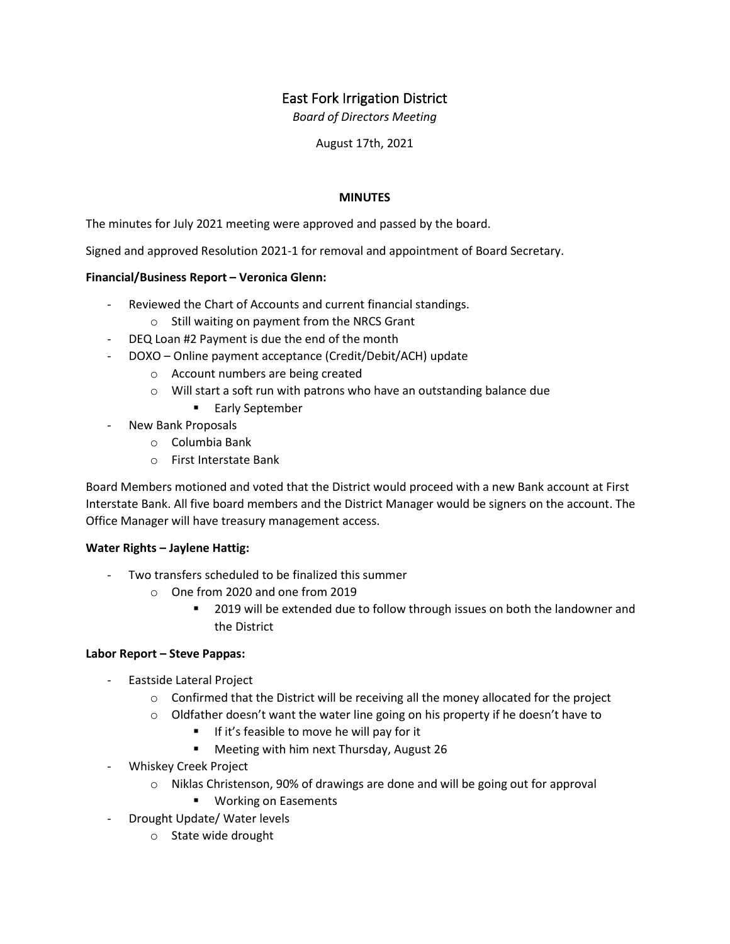# East Fork Irrigation District

*Board of Directors Meeting*

August 17th, 2021

# **MINUTES**

The minutes for July 2021 meeting were approved and passed by the board.

Signed and approved Resolution 2021-1 for removal and appointment of Board Secretary.

# **Financial/Business Report – Veronica Glenn:**

- Reviewed the Chart of Accounts and current financial standings.
	- o Still waiting on payment from the NRCS Grant
- DEQ Loan #2 Payment is due the end of the month
- DOXO Online payment acceptance (Credit/Debit/ACH) update
	- o Account numbers are being created
	- o Will start a soft run with patrons who have an outstanding balance due
		- Early September
- New Bank Proposals
	- o Columbia Bank
	- o First Interstate Bank

Board Members motioned and voted that the District would proceed with a new Bank account at First Interstate Bank. All five board members and the District Manager would be signers on the account. The Office Manager will have treasury management access.

### **Water Rights – Jaylene Hattig:**

- Two transfers scheduled to be finalized this summer
	- o One from 2020 and one from 2019
		- **2019** will be extended due to follow through issues on both the landowner and the District

### **Labor Report – Steve Pappas:**

- Eastside Lateral Project
	- $\circ$  Confirmed that the District will be receiving all the money allocated for the project
	- $\circ$  Oldfather doesn't want the water line going on his property if he doesn't have to
		- If it's feasible to move he will pay for it
		- **Meeting with him next Thursday, August 26**
- Whiskey Creek Project
	- o Niklas Christenson, 90% of drawings are done and will be going out for approval
		- **Working on Easements**
- Drought Update/ Water levels
	- o State wide drought